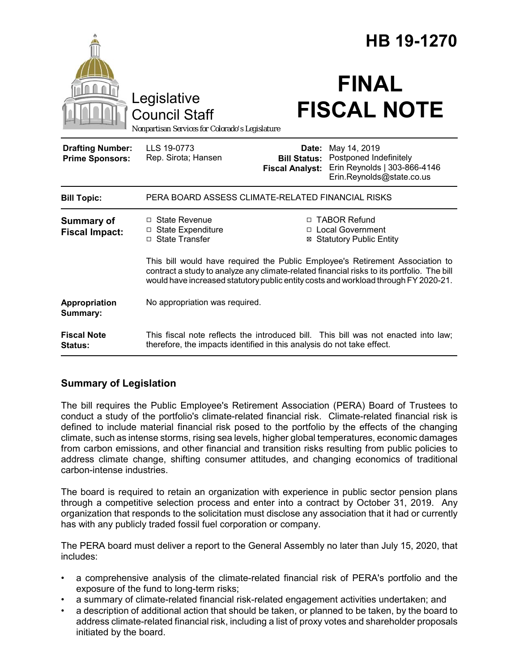|                                                   |                                                                                                                                                                                                                                                                    | HB 19-1270                                             |                                                                                                     |
|---------------------------------------------------|--------------------------------------------------------------------------------------------------------------------------------------------------------------------------------------------------------------------------------------------------------------------|--------------------------------------------------------|-----------------------------------------------------------------------------------------------------|
|                                                   | Legislative<br><b>Council Staff</b><br>Nonpartisan Services for Colorado's Legislature                                                                                                                                                                             |                                                        | <b>FINAL</b><br><b>FISCAL NOTE</b>                                                                  |
| <b>Drafting Number:</b><br><b>Prime Sponsors:</b> | LLS 19-0773<br>Rep. Sirota; Hansen                                                                                                                                                                                                                                 | Date:<br><b>Bill Status:</b><br><b>Fiscal Analyst:</b> | May 14, 2019<br>Postponed Indefinitely<br>Erin Reynolds   303-866-4146<br>Erin.Reynolds@state.co.us |
| <b>Bill Topic:</b>                                | PERA BOARD ASSESS CLIMATE-RELATED FINANCIAL RISKS                                                                                                                                                                                                                  |                                                        |                                                                                                     |
| <b>Summary of</b><br><b>Fiscal Impact:</b>        | $\Box$ State Revenue<br>□ State Expenditure<br>□ State Transfer                                                                                                                                                                                                    | ⊠                                                      | □ TABOR Refund<br>□ Local Government<br><b>Statutory Public Entity</b>                              |
|                                                   | This bill would have required the Public Employee's Retirement Association to<br>contract a study to analyze any climate-related financial risks to its portfolio. The bill<br>would have increased statutory public entity costs and workload through FY 2020-21. |                                                        |                                                                                                     |
| Appropriation<br>Summary:                         | No appropriation was required.                                                                                                                                                                                                                                     |                                                        |                                                                                                     |
| <b>Fiscal Note</b><br>Status:                     | This fiscal note reflects the introduced bill. This bill was not enacted into law;<br>therefore, the impacts identified in this analysis do not take effect.                                                                                                       |                                                        |                                                                                                     |

## **Summary of Legislation**

The bill requires the Public Employee's Retirement Association (PERA) Board of Trustees to conduct a study of the portfolio's climate-related financial risk. Climate-related financial risk is defined to include material financial risk posed to the portfolio by the effects of the changing climate, such as intense storms, rising sea levels, higher global temperatures, economic damages from carbon emissions, and other financial and transition risks resulting from public policies to address climate change, shifting consumer attitudes, and changing economics of traditional carbon-intense industries.

The board is required to retain an organization with experience in public sector pension plans through a competitive selection process and enter into a contract by October 31, 2019. Any organization that responds to the solicitation must disclose any association that it had or currently has with any publicly traded fossil fuel corporation or company.

The PERA board must deliver a report to the General Assembly no later than July 15, 2020, that includes:

- a comprehensive analysis of the climate-related financial risk of PERA's portfolio and the exposure of the fund to long-term risks;
- a summary of climate-related financial risk-related engagement activities undertaken; and
- a description of additional action that should be taken, or planned to be taken, by the board to address climate-related financial risk, including a list of proxy votes and shareholder proposals initiated by the board.